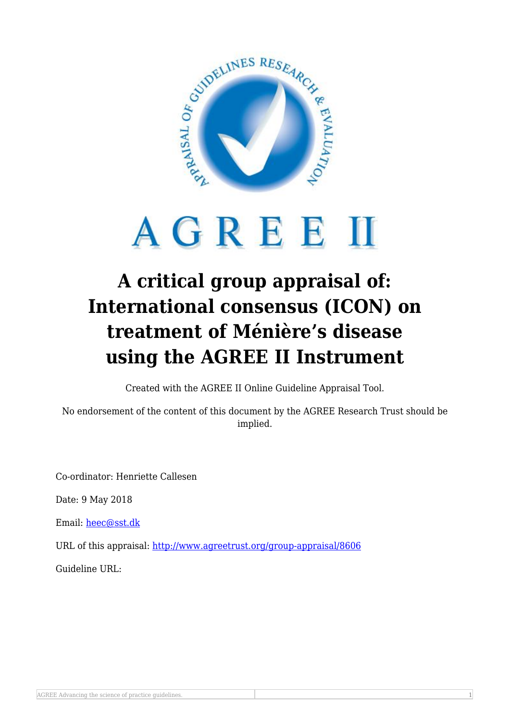

## AGREEM

## **A critical group appraisal of: International consensus (ICON) on treatment of Ménière's disease using the AGREE II Instrument**

Created with the AGREE II Online Guideline Appraisal Tool.

No endorsement of the content of this document by the AGREE Research Trust should be implied.

Co-ordinator: Henriette Callesen

Date: 9 May 2018

Email: [heec@sst.dk](mailto:heec@sst.dk)

URL of this appraisal:<http://www.agreetrust.org/group-appraisal/8606>

Guideline URL: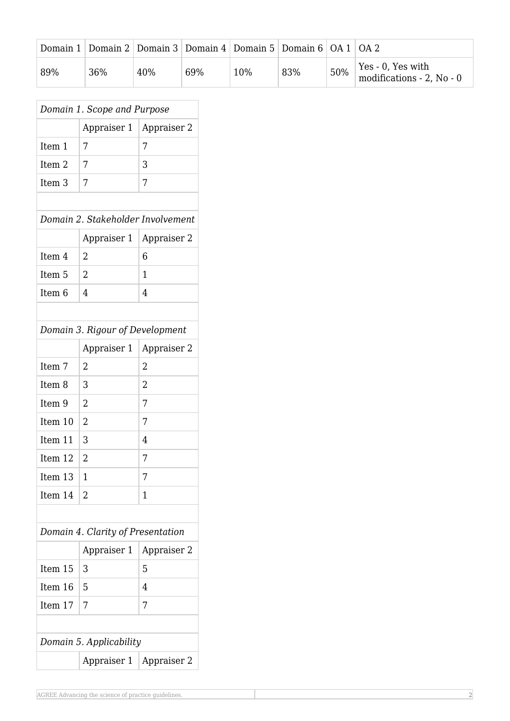|     | Domain 1   Domain 2   Domain 3   Domain 4   Domain 5   Domain 6   OA 1   OA 2 |     |     |     |     |     |                                                   |
|-----|-------------------------------------------------------------------------------|-----|-----|-----|-----|-----|---------------------------------------------------|
| 89% | 36%                                                                           | 40% | 69% | 10% | 83% | 50% | Yes - 0, Yes with<br>modifications - $2$ , No - 0 |

| Domain 1. Scope and Purpose       |                |                |  |  |  |  |  |  |
|-----------------------------------|----------------|----------------|--|--|--|--|--|--|
|                                   | Appraiser 1    | Appraiser 2    |  |  |  |  |  |  |
| Item 1                            | 7              | 7              |  |  |  |  |  |  |
| Item <sub>2</sub>                 | 7              | 3              |  |  |  |  |  |  |
| Item <sub>3</sub>                 | 7              | 7              |  |  |  |  |  |  |
|                                   |                |                |  |  |  |  |  |  |
| Domain 2. Stakeholder Involvement |                |                |  |  |  |  |  |  |
|                                   | Appraiser 1    | Appraiser 2    |  |  |  |  |  |  |
| Item 4                            | 2              | 6              |  |  |  |  |  |  |
| Item 5                            | $\overline{2}$ | 1              |  |  |  |  |  |  |
| Item <sub>6</sub>                 | 4              | 4              |  |  |  |  |  |  |
|                                   |                |                |  |  |  |  |  |  |
| Domain 3. Rigour of Development   |                |                |  |  |  |  |  |  |
|                                   | Appraiser 1    | Appraiser 2    |  |  |  |  |  |  |
| Item 7                            | 2              | $\overline{2}$ |  |  |  |  |  |  |
| Item <sub>8</sub>                 | 3              | $\overline{2}$ |  |  |  |  |  |  |
| Item 9                            | 2              | 7              |  |  |  |  |  |  |
| Item 10                           | 2              | 7              |  |  |  |  |  |  |
| Item 11                           | 3              | 4              |  |  |  |  |  |  |
| Item 12                           | $\overline{2}$ | 7              |  |  |  |  |  |  |
| Item 13                           | 1              | 7              |  |  |  |  |  |  |
| Item 14                           | 2              | 1              |  |  |  |  |  |  |
|                                   |                |                |  |  |  |  |  |  |
| Domain 4. Clarity of Presentation |                |                |  |  |  |  |  |  |
|                                   | Appraiser 1    | Appraiser 2    |  |  |  |  |  |  |
| Item 15                           | 3              | 5              |  |  |  |  |  |  |
| Item 16                           | 5              | 4              |  |  |  |  |  |  |
| Item 17                           | 7              | 7              |  |  |  |  |  |  |
|                                   |                |                |  |  |  |  |  |  |
| Domain 5. Applicability           |                |                |  |  |  |  |  |  |
|                                   | Appraiser 1    | Appraiser 2    |  |  |  |  |  |  |